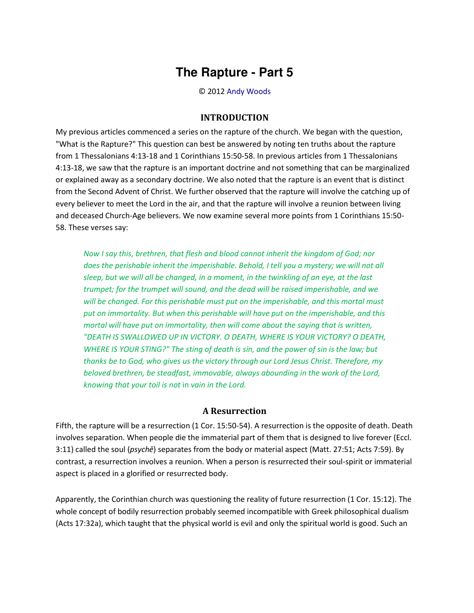## **The Rapture - Part 5**

© 2012 [Andy Woods](http://www.spiritandtruth.org/id/aw.htm)

## **INTRODUCTION**

My previous articles commenced a series on the rapture of the church. We began with the question, "What is the Rapture?" This question can best be answered by noting ten truths about the rapture from [1 Thessalonians 4:13-18](http://biblia.com/bible/nasb95/1%20Thessalonians%204.13-18) an[d 1 Corinthians 15:50-58.](http://biblia.com/bible/nasb95/1%20Corinthians%2015.50-58) In previous articles from 1 Thessalonians 4:13-18, we saw that th[e rapture is an important doctrine](http://www.bibleprophecyblog.com/2012/02/rapture-part-1.html) and not something that can be marginalized or explained away as a secondary doctrine. We also noted that the [rapture is an event that is distinct](http://www.bibleprophecyblog.com/2012/03/rapture-part-2.html)  [from the Second Advent of Christ.](http://www.bibleprophecyblog.com/2012/03/rapture-part-2.html) We further observed that the [rapture will involve the catching up of](http://www.bibleprophecyblog.com/2012/04/rapture-part-3.html)  [every believer to meet the Lord in the air,](http://www.bibleprophecyblog.com/2012/04/rapture-part-3.html) and that the rapture will involve a reunion between living and deceased Church-Age believers. We now examine several more points from 1 Corinthians 15:50- 58. These verses say:

*Now I say this, brethren, that flesh and blood cannot inherit the kingdom of God; nor*  does the perishable inherit the imperishable. Behold, I tell you a mystery; we will not all *sleep, but we will all be changed, in a moment, in the twinkling of an eye, at the last trumpet; for the trumpet will sound, and the dead will be raised imperishable, and we will be changed. For this perishable must put on the imperishable, and this mortal must put on immortality. But when this perishable will have put on the imperishable, and this mortal will have put on immortality, then will come about the saying that is written, "DEATH IS SWALLOWED UP IN VICTORY. O DEATH, WHERE IS YOUR VICTORY? O DEATH, WHERE IS YOUR STING?" The sting of death is sin, and the power of sin is the law; but thanks be to God, who gives us the victory through our Lord Jesus Christ. Therefore, my beloved brethren, be steadfast, immovable, always abounding in the work of the Lord, knowing that your toil is not* in *vain in the Lord.*

## **A Resurrection**

Fifth, the rapture will be a resurrection (1 Cor. 15:50-54). A resurrection is the opposite of death. Death involves separation. When people die the immaterial part of them that is designed to live forever (Eccl. 3:11) called the soul (*psychē*) separates from the body or material aspect (Matt. 27:51; Acts 7:59). By contrast, a resurrection involves a reunion. When a person is resurrected their soul-spirit or immaterial aspect is placed in a glorified or resurrected body.

Apparently, the Corinthian church was questioning the reality of future resurrection (1 Cor. 15:12). The whole concept of bodily resurrection probably seemed incompatible with Greek philosophical dualism (Acts 17:32a), which taught that the physical world is evil and only the spiritual world is good. Such an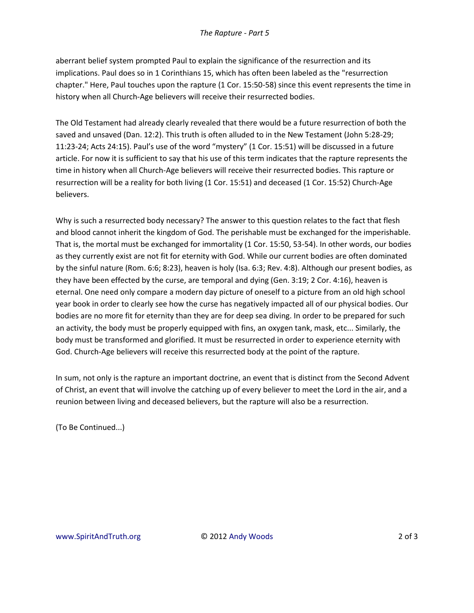aberrant belief system prompted Paul to explain the significance of the resurrection and its implications. Paul does so in 1 Corinthians 15, which has often been labeled as the "resurrection chapter." Here, Paul touches upon the rapture (1 Cor. 15:50-58) since this event represents the time in history when all Church-Age believers will receive their resurrected bodies.

The Old Testament had already clearly revealed that there would be a future resurrection of both the saved and unsaved (Dan. 12:2). This truth is often alluded to in the New Testament (John 5:28-29; 11:23-24; Acts 24:15). Paul's use of the word "mystery" (1 Cor. 15:51) will be discussed in a future article. For now it is sufficient to say that his use of this term indicates that the rapture represents the time in history when all Church-Age believers will receive their resurrected bodies. This rapture or resurrection will be a reality for both living (1 Cor. 15:51) and deceased (1 Cor. 15:52) Church-Age believers.

Why is such a resurrected body necessary? The answer to this question relates to the fact that flesh and blood cannot inherit the kingdom of God. The perishable must be exchanged for the imperishable. That is, the mortal must be exchanged for immortality (1 Cor. 15:50, 53-54). In other words, our bodies as they currently exist are not fit for eternity with God. While our current bodies are often dominated by the sinful nature (Rom. 6:6; 8:23), heaven is holy (Isa. 6:3; Rev. 4:8). Although our present bodies, as they have been effected by the curse, are temporal and dying (Gen. 3:19; 2 Cor. 4:16), heaven is eternal. One need only compare a modern day picture of oneself to a picture from an old high school year book in order to clearly see how the curse has negatively impacted all of our physical bodies. Our bodies are no more fit for eternity than they are for deep sea diving. In order to be prepared for such an activity, the body must be properly equipped with fins, an oxygen tank, mask, etc... Similarly, the body must be transformed and glorified. It must be resurrected in order to experience eternity with God. Church-Age believers will receive this resurrected body at the point of the rapture.

In sum, not only is the rapture an important doctrine, an event that is distinct from the Second Advent of Christ, an event that will involve the catching up of every believer to meet the Lord in the air, and a reunion between living and deceased believers, but the rapture will also be a resurrection.

(To Be Continued...)